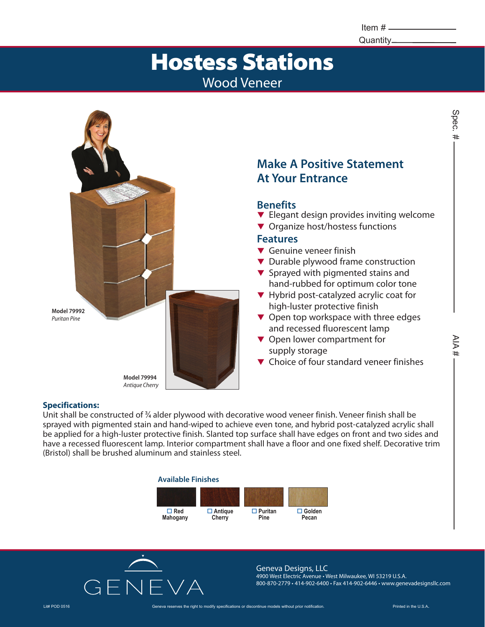Item  $#_$ 

Quantity

# Hostess Stations Wood Veneer



## **Make A Positive Statement At Your Entrance**

### **Benefits**

- $\blacktriangledown$  Elegant design provides inviting welcome
- ▼ Organize host/hostess functions

#### **Features**

- ▼ Genuine veneer finish
- ▼ Durable plywood frame construction
- $\blacktriangledown$  Sprayed with pigmented stains and hand-rubbed for optimum color tone
- ▼ Hybrid post-catalyzed acrylic coat for high-luster protective finish
- ▼ Open top workspace with three edges and recessed fluorescent lamp
- ▼ Open lower compartment for supply storage
- ▼ Choice of four standard veneer finishes

#### **Specifications:**

Unit shall be constructed of  $\frac{3}{4}$  alder plywood with decorative wood veneer finish. Veneer finish shall be sprayed with pigmented stain and hand-wiped to achieve even tone, and hybrid post-catalyzed acrylic shall be applied for a high-luster protective finish. Slanted top surface shall have edges on front and two sides and have a recessed fluorescent lamp. Interior compartment shall have a floor and one fixed shelf. Decorative trim (Bristol) shall be brushed aluminum and stainless steel.

#### **Available Finishes**





Geneva Designs, LLC 4900 West Electric Avenue • West Milwaukee, WI 53219 U.S.A. 800-870-2779 • 414-902-6400 • Fax 414-902-6446 • www.genevadesignsllc.com

Spec. #